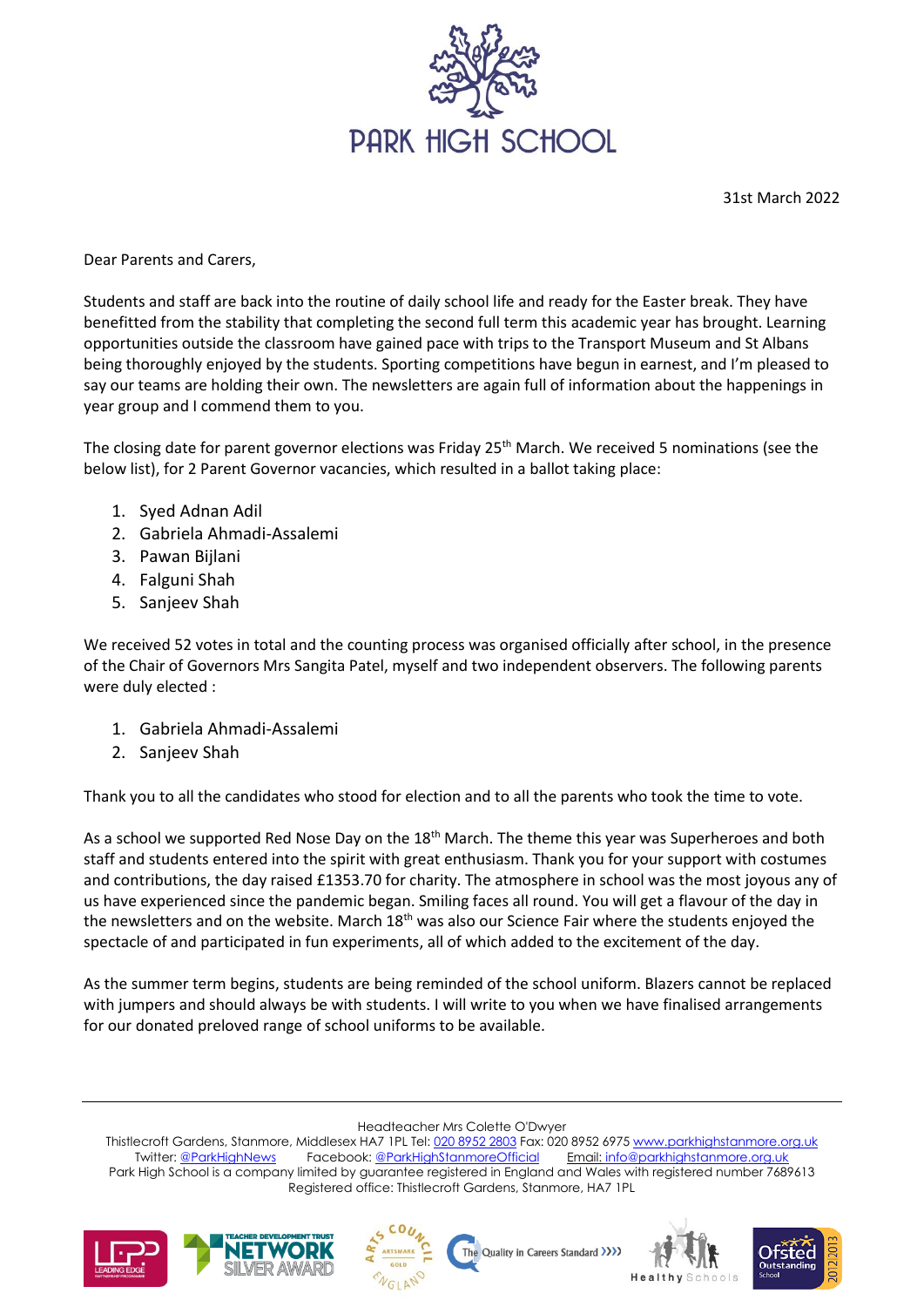

31st March 2022

Dear Parents and Carers,

Students and staff are back into the routine of daily school life and ready for the Easter break. They have benefitted from the stability that completing the second full term this academic year has brought. Learning opportunities outside the classroom have gained pace with trips to the Transport Museum and St Albans being thoroughly enjoyed by the students. Sporting competitions have begun in earnest, and I'm pleased to say our teams are holding their own. The newsletters are again full of information about the happenings in year group and I commend them to you.

The closing date for parent governor elections was Friday 25<sup>th</sup> March. We received 5 nominations (see the below list), for 2 Parent Governor vacancies, which resulted in a ballot taking place:

- 1. Syed Adnan Adil
- 2. Gabriela Ahmadi-Assalemi
- 3. Pawan Bijlani
- 4. Falguni Shah
- 5. Sanjeev Shah

We received 52 votes in total and the counting process was organised officially after school, in the presence of the Chair of Governors Mrs Sangita Patel, myself and two independent observers. The following parents were duly elected :

- 1. Gabriela Ahmadi-Assalemi
- 2. Sanjeev Shah

Thank you to all the candidates who stood for election and to all the parents who took the time to vote.

As a school we supported Red Nose Day on the  $18<sup>th</sup>$  March. The theme this year was Superheroes and both staff and students entered into the spirit with great enthusiasm. Thank you for your support with costumes and contributions, the day raised £1353.70 for charity. The atmosphere in school was the most joyous any of us have experienced since the pandemic began. Smiling faces all round. You will get a flavour of the day in the newsletters and on the website. March 18<sup>th</sup> was also our Science Fair where the students enjoyed the spectacle of and participated in fun experiments, all of which added to the excitement of the day.

As the summer term begins, students are being reminded of the school uniform. Blazers cannot be replaced with jumpers and should always be with students. I will write to you when we have finalised arrangements for our donated preloved range of school uniforms to be available.

Headteacher Mrs Colette O'Dwyer

Thistlecroft Gardens, Stanmore, Middlesex HA7 1PL Tel[: 020 8952 2803](file://///phs-apps-06/Digital$/Templates/020%208952%202803) Fax: 020 8952 697[5 www.parkhighstanmore.org.uk](file://///phs-apps-06/Digital$/Templates/www.parkhighstanmore.org.uk) Twitter: [@ParkHighNews](https://twitter.com/ParkHighNews) Facebook: [@ParkHighStanmoreOfficial](https://www.facebook.com/pg/ParkHighStanmoreOfficial) Email: info@parkhighstanmore.org.uk Park High School is a company limited by guarantee registered in England and Wales with registered number 7689613 Registered office: Thistlecroft Gardens, Stanmore, HA7 1PL